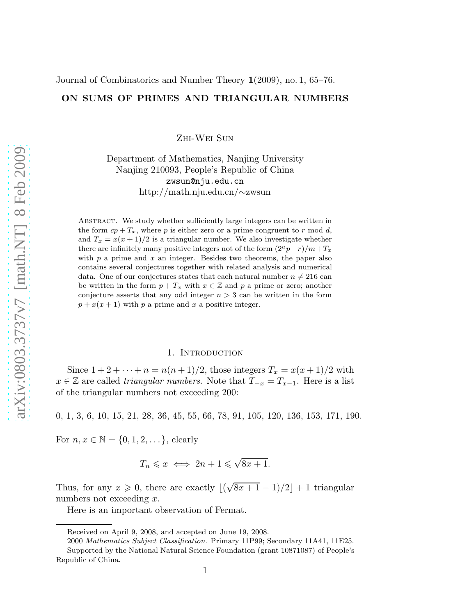# ON SUMS OF PRIMES AND TRIANGULAR NUMBERS

Zhi-Wei Sun

Department of Mathematics, Nanjing University Nanjing 210093, People's Republic of China zwsun@nju.edu.cn http://math.nju.edu.cn/∼zwsun

Abstract. We study whether sufficiently large integers can be written in the form  $cp + T_x$ , where p is either zero or a prime congruent to r mod d, and  $T_x = x(x+1)/2$  is a triangular number. We also investigate whether there are infinitely many positive integers not of the form  $(2^a p - r)/m + T_x$ with  $p$  a prime and  $x$  an integer. Besides two theorems, the paper also contains several conjectures together with related analysis and numerical data. One of our conjectures states that each natural number  $n \neq 216$  can be written in the form  $p + T_x$  with  $x \in \mathbb{Z}$  and p a prime or zero; another conjecture asserts that any odd integer  $n > 3$  can be written in the form  $p + x(x + 1)$  with p a prime and x a positive integer.

### 1. INTRODUCTION

Since  $1 + 2 + \cdots + n = n(n+1)/2$ , those integers  $T_x = x(x+1)/2$  with  $x \in \mathbb{Z}$  are called *triangular numbers*. Note that  $T_{-x} = T_{x-1}$ . Here is a list of the triangular numbers not exceeding 200:

0, 1, 3, 6, 10, 15, 21, 28, 36, 45, 55, 66, 78, 91, 105, 120, 136, 153, 171, 190.

For  $n, x \in \mathbb{N} = \{0, 1, 2, \dots\}$ , clearly

$$
T_n \leqslant x \iff 2n+1 \leqslant \sqrt{8x+1}.
$$

Thus, for any  $x \ge 0$ , there are exactly  $\lfloor (\sqrt{8x+1}-1)/2 \rfloor + 1$  triangular numbers not exceeding  $x$ .

Here is an important observation of Fermat.

Received on April 9, 2008, and accepted on June 19, 2008.

<sup>2000</sup> *Mathematics Subject Classification*. Primary 11P99; Secondary 11A41, 11E25. Supported by the National Natural Science Foundation (grant 10871087) of People's Republic of China.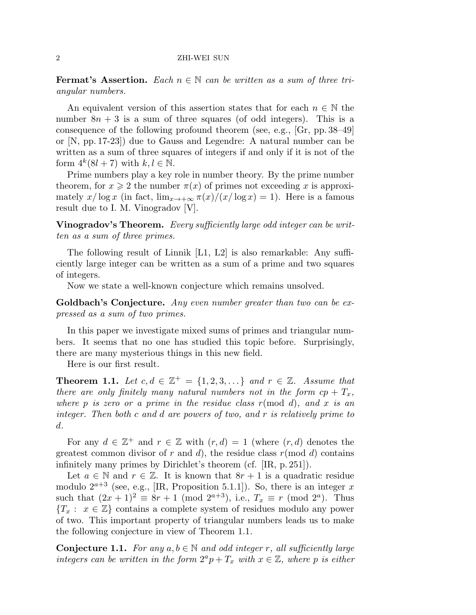**Fermat's Assertion.** Each  $n \in \mathbb{N}$  can be written as a sum of three triangular numbers.

An equivalent version of this assertion states that for each  $n \in \mathbb{N}$  the number  $8n + 3$  is a sum of three squares (of odd integers). This is a consequence of the following profound theorem (see, e.g., [Gr, pp. 38–49] or [N, pp. 17-23]) due to Gauss and Legendre: A natural number can be written as a sum of three squares of integers if and only if it is not of the form  $4^k(8l + 7)$  with  $k, l \in \mathbb{N}$ .

Prime numbers play a key role in number theory. By the prime number theorem, for  $x \geq 2$  the number  $\pi(x)$  of primes not exceeding x is approximately  $x/\log x$  (in fact,  $\lim_{x\to+\infty} \pi(x)/(x/\log x) = 1$ ). Here is a famous result due to I. M. Vinogradov [V].

**Vinogradov's Theorem.** Every sufficiently large odd integer can be written as a sum of three primes.

The following result of Linnik [L1, L2] is also remarkable: Any sufficiently large integer can be written as a sum of a prime and two squares of integers.

Now we state a well-known conjecture which remains unsolved.

Goldbach's Conjecture. Any even number greater than two can be expressed as a sum of two primes.

In this paper we investigate mixed sums of primes and triangular numbers. It seems that no one has studied this topic before. Surprisingly, there are many mysterious things in this new field.

Here is our first result.

**Theorem 1.1.** Let  $c, d \in \mathbb{Z}^+ = \{1, 2, 3, ...\}$  and  $r \in \mathbb{Z}$ . Assume that there are only finitely many natural numbers not in the form  $cp + T_x$ , where p is zero or a prime in the residue class  $r \pmod{d}$ , and x is an integer. Then both c and d are powers of two, and r is relatively prime to d.

For any  $d \in \mathbb{Z}^+$  and  $r \in \mathbb{Z}$  with  $(r, d) = 1$  (where  $(r, d)$  denotes the greatest common divisor of r and d), the residue class  $r \pmod{d}$  contains infinitely many primes by Dirichlet's theorem (cf. [IR, p. 251]).

Let  $a \in \mathbb{N}$  and  $r \in \mathbb{Z}$ . It is known that  $8r + 1$  is a quadratic residue modulo  $2^{a+3}$  (see, e.g., [IR, Proposition 5.1.1]). So, there is an integer x such that  $(2x+1)^2 \equiv 8r+1 \pmod{2^{a+3}}$ , i.e.,  $T_x \equiv r \pmod{2^a}$ . Thus  ${T_x : x \in \mathbb{Z}}$  contains a complete system of residues modulo any power of two. This important property of triangular numbers leads us to make the following conjecture in view of Theorem 1.1.

**Conjecture 1.1.** For any  $a, b \in \mathbb{N}$  and odd integer r, all sufficiently large integers can be written in the form  $2^a p + T_x$  with  $x \in \mathbb{Z}$ , where p is either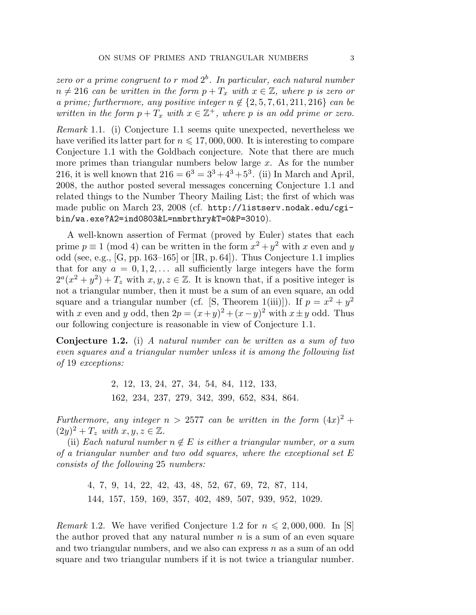zero or a prime congruent to r mod  $2^b$ . In particular, each natural number  $n \neq 216$  can be written in the form  $p + T_x$  with  $x \in \mathbb{Z}$ , where p is zero or a prime; furthermore, any positive integer  $n \notin \{2, 5, 7, 61, 211, 216\}$  can be written in the form  $p + T_x$  with  $x \in \mathbb{Z}^+$ , where p is an odd prime or zero.

Remark 1.1. (i) Conjecture 1.1 seems quite unexpected, nevertheless we have verified its latter part for  $n \leq 17,000,000$ . It is interesting to compare Conjecture 1.1 with the Goldbach conjecture. Note that there are much more primes than triangular numbers below large  $x$ . As for the number 216, it is well known that  $216 = 6^3 = 3^3 + 4^3 + 5^3$ . (ii) In March and April, 2008, the author posted several messages concerning Conjecture 1.1 and related things to the Number Theory Mailing List; the first of which was made public on March 23, 2008 (cf. http://listserv.nodak.edu/cgibin/wa.exe?A2=ind0803&L=nmbrthry&T=0&P=3010).

A well-known assertion of Fermat (proved by Euler) states that each prime  $p \equiv 1 \pmod{4}$  can be written in the form  $x^2 + y^2$  with x even and y odd (see, e.g., [G, pp. 163–165] or [IR, p. 64]). Thus Conjecture 1.1 implies that for any  $a = 0, 1, 2, \ldots$  all sufficiently large integers have the form  $2^a(x^2+y^2)+T_z$  with  $x, y, z \in \mathbb{Z}$ . It is known that, if a positive integer is not a triangular number, then it must be a sum of an even square, an odd square and a triangular number (cf. [S, Theorem 1(iii)]). If  $p = x^2 + y^2$ with x even and y odd, then  $2p = (x+y)^2 + (x-y)^2$  with  $x \pm y$  odd. Thus our following conjecture is reasonable in view of Conjecture 1.1.

Conjecture 1.2. (i) A natural number can be written as a sum of two even squares and a triangular number unless it is among the following list of 19 exceptions:

> 2, 12, 13, 24, 27, 34, 54, 84, 112, 133, 162, 234, 237, 279, 342, 399, 652, 834, 864.

Furthermore, any integer  $n > 2577$  can be written in the form  $(4x)^2 +$  $(2y)^2 + T_z$  with  $x, y, z \in \mathbb{Z}$ .

(ii) Each natural number  $n \notin E$  is either a triangular number, or a sum of a triangular number and two odd squares, where the exceptional set  $E$ consists of the following 25 numbers:

> 4, 7, 9, 14, 22, 42, 43, 48, 52, 67, 69, 72, 87, 114, 144, 157, 159, 169, 357, 402, 489, 507, 939, 952, 1029.

Remark 1.2. We have verified Conjecture 1.2 for  $n \leq 2,000,000$ . In [S] the author proved that any natural number  $n$  is a sum of an even square and two triangular numbers, and we also can express  $n$  as a sum of an odd square and two triangular numbers if it is not twice a triangular number.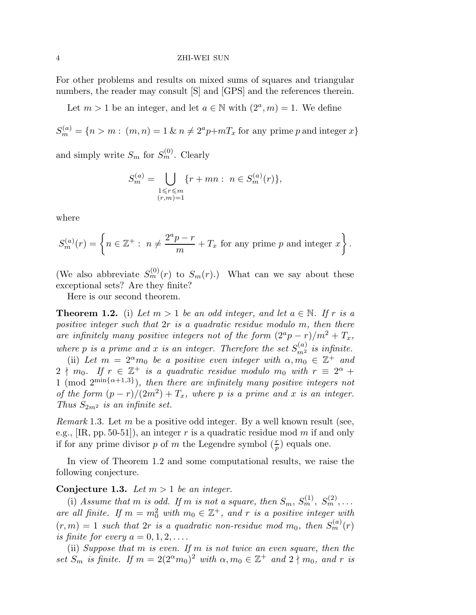For other problems and results on mixed sums of squares and triangular numbers, the reader may consult [S] and [GPS] and the references therein.

Let  $m > 1$  be an integer, and let  $a \in \mathbb{N}$  with  $(2^a, m) = 1$ . We define

 $S_m^{(a)} = \{n > m : (m, n) = 1 \& n \neq 2^a p + mT_x \text{ for any prime } p \text{ and integer } x\}$ 

and simply write  $S_m$  for  $S_m^{(0)}$ . Clearly

$$
S_m^{(a)} = \bigcup_{\substack{1 \le r \le m \\ (r,m)=1}} \{r + mn : n \in S_m^{(a)}(r)\},\
$$

where

$$
S_m^{(a)}(r) = \left\{ n \in \mathbb{Z}^+ : n \neq \frac{2^a p - r}{m} + T_x \text{ for any prime } p \text{ and integer } x \right\}.
$$

(We also abbreviate  $S_m^{(0)}(r)$  to  $S_m(r)$ .) What can we say about these exceptional sets? Are they finite?

Here is our second theorem.

**Theorem 1.2.** (i) Let  $m > 1$  be an odd integer, and let  $a \in \mathbb{N}$ . If r is a positive integer such that  $2r$  is a quadratic residue modulo m, then there are infinitely many positive integers not of the form  $(2^a p - r)/m^2 + T_x$ , where p is a prime and x is an integer. Therefore the set  $S_{m^2}^{(a)}$  is infinite.

(ii) Let  $m = 2^{\alpha} m_0$  be a positive even integer with  $\alpha, m_0 \in \mathbb{Z}^+$  and  $2 \nmid m_0$ . If  $r \in \mathbb{Z}^+$  is a quadratic residue modulo  $m_0$  with  $r \equiv 2^{\alpha} +$ 1 (mod  $2^{\min\{\alpha+1,3\}}$ ), then there are infinitely many positive integers not of the form  $(p - r)/(2m^2) + T_x$ , where p is a prime and x is an integer. Thus  $S_{2m^2}$  is an infinite set.

*Remark* 1.3. Let m be a positive odd integer. By a well known result (see, e.g.,  $[\text{IR}, \text{pp. 50-51}]$ , an integer r is a quadratic residue mod m if and only if for any prime divisor p of m the Legendre symbol  $(\frac{r}{p})$  equals one.

In view of Theorem 1.2 and some computational results, we raise the following conjecture.

Conjecture 1.3. Let  $m > 1$  be an integer.

(i) Assume that m is odd. If m is not a square, then  $S_m$ ,  $S_m^{(1)}$ ,  $S_m^{(2)}$ , ... are all finite. If  $m = m_0^2$  with  $m_0 \in \mathbb{Z}^+$ , and r is a positive integer with  $(r, m) = 1$  such that  $2r$  is a quadratic non-residue mod  $m_0$ , then  $S_m^{(a)}(r)$ is finite for every  $a = 0, 1, 2, \ldots$ .

(ii) Suppose that m is even. If m is not twice an even square, then the set  $S_m$  is finite. If  $m = 2(2^{\alpha}m_0)^2$  with  $\alpha, m_0 \in \mathbb{Z}^+$  and  $2 \nmid m_0$ , and r is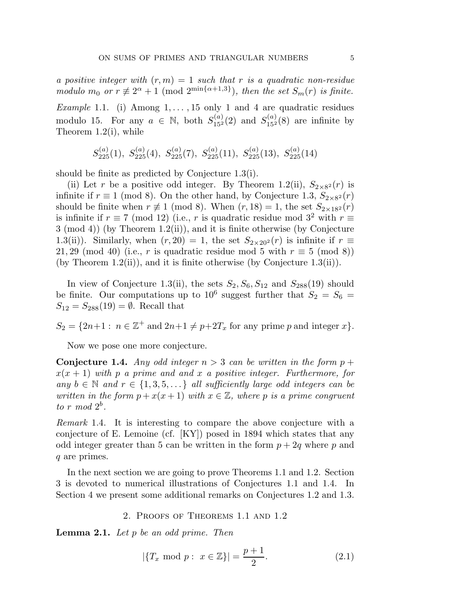a positive integer with  $(r, m) = 1$  such that r is a quadratic non-residue modulo  $m_0$  or  $r \neq 2^{\alpha} + 1 \pmod{2^{\min\{\alpha+1,3\}}},$  then the set  $S_m(r)$  is finite.

Example 1.1. (i) Among  $1, \ldots, 15$  only 1 and 4 are quadratic residues modulo 15. For any  $a \in \mathbb{N}$ , both  $S_{15^2}^{(a)}(2)$  and  $S_{15^2}^{(a)}(8)$  are infinite by Theorem 1.2(i), while

$$
S_{225}^{(a)}(1), S_{225}^{(a)}(4), S_{225}^{(a)}(7), S_{225}^{(a)}(11), S_{225}^{(a)}(13), S_{225}^{(a)}(14)
$$

should be finite as predicted by Conjecture 1.3(i).

(ii) Let r be a positive odd integer. By Theorem 1.2(ii),  $S_{2\times8^2}(r)$  is infinite if  $r \equiv 1 \pmod{8}$ . On the other hand, by Conjecture 1.3,  $S_{2\times8^2}(r)$ should be finite when  $r \not\equiv 1 \pmod{8}$ . When  $(r, 18) = 1$ , the set  $S_{2 \times 18^2}(r)$ is infinite if  $r \equiv 7 \pmod{12}$  (i.e., r is quadratic residue mod  $3^2$  with  $r \equiv$ 3 (mod 4)) (by Theorem 1.2(ii)), and it is finite otherwise (by Conjecture 1.3(ii)). Similarly, when  $(r, 20) = 1$ , the set  $S_{2\times20^2}(r)$  is infinite if  $r \equiv$ 21, 29 (mod 40) (i.e., r is quadratic residue mod 5 with  $r \equiv 5 \pmod{8}$ ) (by Theorem 1.2(ii)), and it is finite otherwise (by Conjecture 1.3(ii)).

In view of Conjecture 1.3(ii), the sets  $S_2, S_6, S_{12}$  and  $S_{288}(19)$  should be finite. Our computations up to  $10^6$  suggest further that  $S_2 = S_6 =$  $S_{12} = S_{288}(19) = \emptyset$ . Recall that

 $S_2 = \{2n+1 : n \in \mathbb{Z}^+ \text{ and } 2n+1 \neq p+2T_x \text{ for any prime } p \text{ and integer } x\}.$ 

Now we pose one more conjecture.

**Conjecture 1.4.** Any odd integer  $n > 3$  can be written in the form  $p +$  $x(x + 1)$  with p a prime and and x a positive integer. Furthermore, for any  $b \in \mathbb{N}$  and  $r \in \{1, 3, 5, \ldots\}$  all sufficiently large odd integers can be written in the form  $p + x(x + 1)$  with  $x \in \mathbb{Z}$ , where p is a prime congruent to  $r \mod 2^b$ .

Remark 1.4. It is interesting to compare the above conjecture with a conjecture of E. Lemoine (cf. [KY]) posed in 1894 which states that any odd integer greater than 5 can be written in the form  $p + 2q$  where p and q are primes.

In the next section we are going to prove Theorems 1.1 and 1.2. Section 3 is devoted to numerical illustrations of Conjectures 1.1 and 1.4. In Section 4 we present some additional remarks on Conjectures 1.2 and 1.3.

2. Proofs of Theorems 1.1 and 1.2

**Lemma 2.1.** Let  $p$  be an odd prime. Then

$$
|\{T_x \text{ mod } p : x \in \mathbb{Z}\}| = \frac{p+1}{2}.\tag{2.1}
$$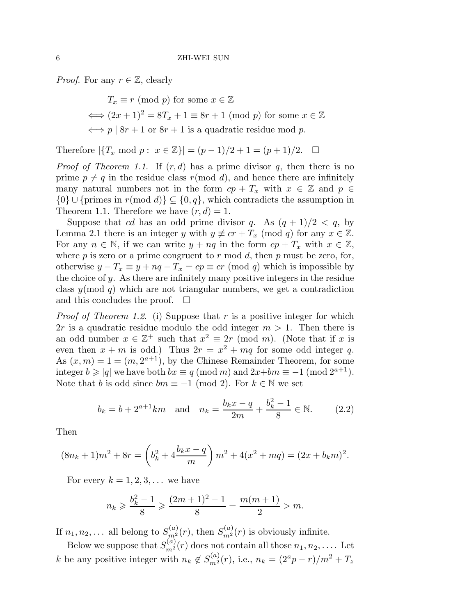*Proof.* For any  $r \in \mathbb{Z}$ , clearly

 $T_x \equiv r \pmod{p}$  for some  $x \in \mathbb{Z}$  $\Longleftrightarrow (2x+1)^2 = 8T_x + 1 \equiv 8r + 1 \pmod{p}$  for some  $x \in \mathbb{Z}$  $\Leftrightarrow$  p | 8r + 1 or 8r + 1 is a quadratic residue mod p.

Therefore  $|\{T_x \text{ mod } p : x \in \mathbb{Z}\}| = (p-1)/2 + 1 = (p+1)/2. \square$ 

*Proof of Theorem 1.1.* If  $(r, d)$  has a prime divisor q, then there is no prime  $p \neq q$  in the residue class  $r \pmod{d}$ , and hence there are infinitely many natural numbers not in the form  $cp + T_x$  with  $x \in \mathbb{Z}$  and  $p \in \mathbb{Z}$  $\{0\} \cup \{\text{primes in } r \text{ (mod } d)\} \subseteq \{0, q\},\$  which contradicts the assumption in Theorem 1.1. Therefore we have  $(r, d) = 1$ .

Suppose that cd has an odd prime divisor q. As  $(q + 1)/2 < q$ , by Lemma 2.1 there is an integer y with  $y \not\equiv cr + T_x \pmod{q}$  for any  $x \in \mathbb{Z}$ . For any  $n \in \mathbb{N}$ , if we can write  $y + nq$  in the form  $cp + T_x$  with  $x \in \mathbb{Z}$ , where  $p$  is zero or a prime congruent to  $r \mod d$ , then  $p \mod d$  respectively. otherwise  $y - T_x \equiv y + nq - T_x = cp \equiv cr \pmod{q}$  which is impossible by the choice of y. As there are infinitely many positive integers in the residue class  $y(\text{mod } q)$  which are not triangular numbers, we get a contradiction and this concludes the proof.  $\square$ 

*Proof of Theorem 1.2.* (i) Suppose that r is a positive integer for which 2r is a quadratic residue modulo the odd integer  $m > 1$ . Then there is an odd number  $x \in \mathbb{Z}^+$  such that  $x^2 \equiv 2r \pmod{m}$ . (Note that if x is even then  $x + m$  is odd.) Thus  $2r = x^2 + mq$  for some odd integer q. As  $(x, m) = 1 = (m, 2^{a+1})$ , by the Chinese Remainder Theorem, for some integer  $b \geqslant |q|$  we have both  $bx \equiv q \pmod{m}$  and  $2x+bm \equiv -1 \pmod{2^{a+1}}$ . Note that b is odd since  $bm \equiv -1 \pmod{2}$ . For  $k \in \mathbb{N}$  we set

$$
b_k = b + 2^{a+1}km
$$
 and  $n_k = \frac{b_kx - q}{2m} + \frac{b_k^2 - 1}{8} \in \mathbb{N}.$  (2.2)

Then

$$
(8nk + 1)m2 + 8r = \left(bk2 + 4\frac{bkx - q}{m}\right)m2 + 4(x2 + mq) = (2x + bkm)2.
$$

For every  $k = 1, 2, 3, \ldots$  we have

$$
n_k \geqslant \frac{b_k^2 - 1}{8} \geqslant \frac{(2m+1)^2 - 1}{8} = \frac{m(m+1)}{2} > m.
$$

If  $n_1, n_2, \ldots$  all belong to  $S_{m^2}^{(a)}(r)$ , then  $S_{m^2}^{(a)}(r)$  is obviously infinite.

Below we suppose that  $S_{m^2}^{(a)}(r)$  does not contain all those  $n_1, n_2, \ldots$ . Let k be any positive integer with  $n_k \notin S_{m^2}^{(a)}(r)$ , i.e.,  $n_k = (2^a p - r)/m^2 + T_z$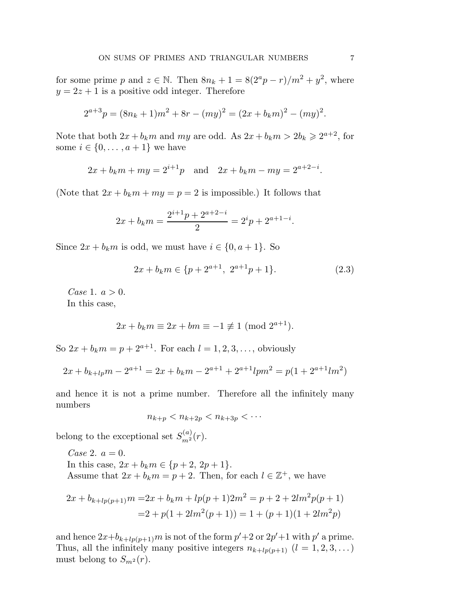for some prime p and  $z \in \mathbb{N}$ . Then  $8n_k + 1 = 8(2^a p - r)/m^2 + y^2$ , where  $y = 2z + 1$  is a positive odd integer. Therefore

$$
2^{a+3}p = (8n_k + 1)m^2 + 8r - (my)^2 = (2x + b_km)^2 - (my)^2.
$$

Note that both  $2x + b_k m$  and  $my$  are odd. As  $2x + b_k m > 2b_k \ge 2^{a+2}$ , for some  $i \in \{0, \ldots, a+1\}$  we have

$$
2x + b_k m + my = 2^{i+1}p
$$
 and  $2x + b_k m - my = 2^{a+2-i}$ .

(Note that  $2x + b_k m + my = p = 2$  is impossible.) It follows that

$$
2x + b_k m = \frac{2^{i+1}p + 2^{a+2-i}}{2} = 2^i p + 2^{a+1-i}.
$$

Since  $2x + b_k m$  is odd, we must have  $i \in \{0, a+1\}$ . So

$$
2x + b_k m \in \{p + 2^{a+1}, \ 2^{a+1}p + 1\}.
$$
 (2.3)

*Case* 1.  $a > 0$ . In this case,

$$
2x + b_k m \equiv 2x + bm \equiv -1 \not\equiv 1 \pmod{2^{a+1}}.
$$

So  $2x + b_k m = p + 2^{a+1}$ . For each  $l = 1, 2, 3, ...,$  obviously

$$
2x + b_{k+lp}m - 2^{a+1} = 2x + b_km - 2^{a+1} + 2^{a+1}lpm^2 = p(1 + 2^{a+1}lm^2)
$$

and hence it is not a prime number. Therefore all the infinitely many numbers

$$
n_{k+p} < n_{k+2p} < n_{k+3p} < \cdots
$$

belong to the exceptional set  $S_{m^2}^{(a)}(r)$ .

Case 2.  $a = 0$ . In this case,  $2x + b_k m \in \{p+2, 2p+1\}.$ Assume that  $2x + b_k m = p + 2$ . Then, for each  $l \in \mathbb{Z}^+$ , we have

$$
2x + b_{k+lp(p+1)}m = 2x + b_km + lp(p+1)2m^2 = p + 2 + 2lm^2p(p+1)
$$
  
= 2 + p(1 + 2lm^2(p+1)) = 1 + (p+1)(1 + 2lm^2p)

and hence  $2x+b_{k+lp(p+1)}m$  is not of the form  $p'+2$  or  $2p'+1$  with  $p'$  a prime. Thus, all the infinitely many positive integers  $n_{k+lp(p+1)}$   $(l = 1, 2, 3, ...)$ must belong to  $S_{m^2}(r)$ .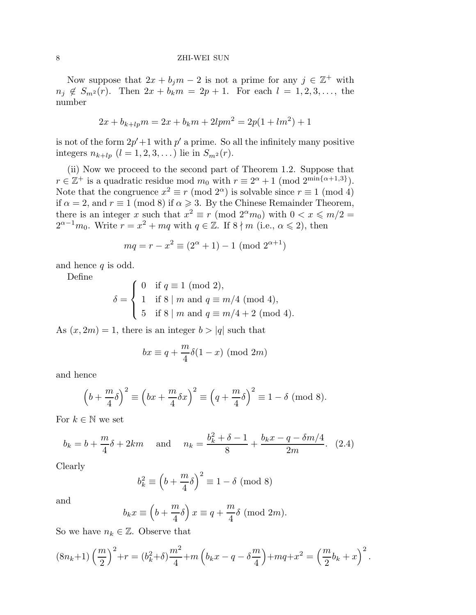Now suppose that  $2x + b_j m - 2$  is not a prime for any  $j \in \mathbb{Z}^+$  with  $n_j \notin S_{m^2}(r)$ . Then  $2x + b_k m = 2p + 1$ . For each  $l = 1, 2, 3, \ldots$ , the number

$$
2x + b_{k+lp}m = 2x + b_km + 2lpm^2 = 2p(1 + lm^2) + 1
$$

is not of the form  $2p' + 1$  with  $p'$  a prime. So all the infinitely many positive integers  $n_{k+lp}$   $(l = 1, 2, 3, ...)$  lie in  $S_{m^2}(r)$ .

(ii) Now we proceed to the second part of Theorem 1.2. Suppose that  $r \in \mathbb{Z}^+$  is a quadratic residue mod  $m_0$  with  $r \equiv 2^{\alpha} + 1 \pmod{2^{\min\{\alpha+1,3\}}}.$ Note that the congruence  $x^2 \equiv r \pmod{2^{\alpha}}$  is solvable since  $r \equiv 1 \pmod{4}$ if  $\alpha = 2$ , and  $r \equiv 1 \pmod{8}$  if  $\alpha \ge 3$ . By the Chinese Remainder Theorem, there is an integer x such that  $x^2 \equiv r \pmod{2^{\alpha} m_0}$  with  $0 < x \leq m/2 =$  $2^{\alpha-1}m_0$ . Write  $r = x^2 + mq$  with  $q \in \mathbb{Z}$ . If  $8 \nmid m$  (i.e.,  $\alpha \leq 2$ ), then

$$
mq = r - x^2 \equiv (2^{\alpha} + 1) - 1 \pmod{2^{\alpha + 1}}
$$

and hence  $q$  is odd.

Define

$$
\delta = \begin{cases} 0 & \text{if } q \equiv 1 \pmod{2}, \\ 1 & \text{if } 8 \mid m \text{ and } q \equiv m/4 \pmod{4}, \\ 5 & \text{if } 8 \mid m \text{ and } q \equiv m/4 + 2 \pmod{4}. \end{cases}
$$

As  $(x, 2m) = 1$ , there is an integer  $b > |q|$  such that

$$
bx \equiv q + \frac{m}{4}\delta(1-x) \pmod{2m}
$$

and hence

$$
\left(b + \frac{m}{4}\delta\right)^2 \equiv \left(bx + \frac{m}{4}\delta x\right)^2 \equiv \left(q + \frac{m}{4}\delta\right)^2 \equiv 1 - \delta \pmod{8}.
$$

For  $k \in \mathbb{N}$  we set

$$
b_k = b + \frac{m}{4}\delta + 2km
$$
 and  $n_k = \frac{b_k^2 + \delta - 1}{8} + \frac{b_kx - q - \delta m/4}{2m}$ . (2.4)

Clearly

$$
b_k^2 \equiv \left(b + \frac{m}{4}\delta\right)^2 \equiv 1 - \delta \pmod{8}
$$

and

$$
b_k x \equiv \left(b + \frac{m}{4}\delta\right) x \equiv q + \frac{m}{4}\delta \pmod{2m}.
$$

So we have  $n_k \in \mathbb{Z}$ . Observe that

$$
(8n_k+1)\left(\frac{m}{2}\right)^2 + r = (b_k^2+\delta)\frac{m^2}{4} + m\left(b_kx - q - \delta\frac{m}{4}\right) + mq + x^2 = \left(\frac{m}{2}b_k + x\right)^2.
$$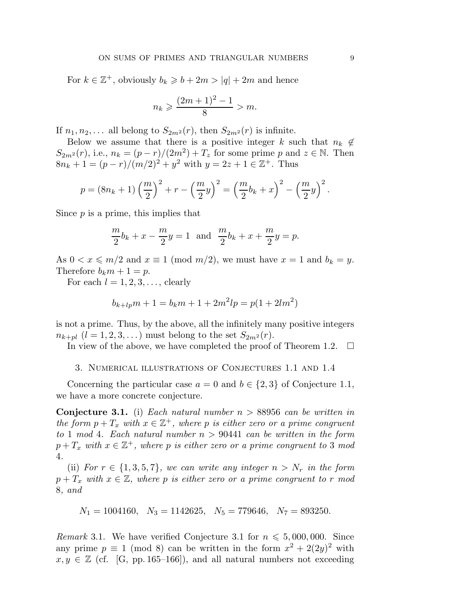For  $k \in \mathbb{Z}^+$ , obviously  $b_k \geq b + 2m > |q| + 2m$  and hence

$$
n_k \geqslant \frac{(2m+1)^2 - 1}{8} > m.
$$

If  $n_1, n_2, \ldots$  all belong to  $S_{2m^2}(r)$ , then  $S_{2m^2}(r)$  is infinite.

Below we assume that there is a positive integer k such that  $n_k \notin$  $S_{2m^2}(r)$ , i.e.,  $n_k = (p-r)/(2m^2) + T_z$  for some prime p and  $z \in \mathbb{N}$ . Then  $8n_k + 1 = (p - r)/(m/2)^2 + y^2$  with  $y = 2z + 1 \in \mathbb{Z}^+$ . Thus

$$
p = (8nk + 1) \left(\frac{m}{2}\right)^2 + r - \left(\frac{m}{2}y\right)^2 = \left(\frac{m}{2}b_k + x\right)^2 - \left(\frac{m}{2}y\right)^2.
$$

Since  $p$  is a prime, this implies that

$$
\frac{m}{2}b_k + x - \frac{m}{2}y = 1
$$
 and  $\frac{m}{2}b_k + x + \frac{m}{2}y = p$ .

As  $0 < x \le m/2$  and  $x \equiv 1 \pmod{m/2}$ , we must have  $x = 1$  and  $b_k = y$ . Therefore  $b_k m + 1 = p$ .

For each  $l = 1, 2, 3, \ldots$ , clearly

$$
b_{k+lp}m + 1 = b_km + 1 + 2m^2lp = p(1 + 2lm^2)
$$

is not a prime. Thus, by the above, all the infinitely many positive integers  $n_{k+pl}$   $(l = 1, 2, 3, ...)$  must belong to the set  $S_{2m^2}(r)$ .

In view of the above, we have completed the proof of Theorem 1.2.  $\Box$ 

3. Numerical illustrations of Conjectures 1.1 and 1.4

Concerning the particular case  $a = 0$  and  $b \in \{2,3\}$  of Conjecture 1.1, we have a more concrete conjecture.

**Conjecture 3.1.** (i) Each natural number  $n > 88956$  can be written in the form  $p + T_x$  with  $x \in \mathbb{Z}^+$ , where p is either zero or a prime congruent to 1 mod 4. Each natural number  $n > 90441$  can be written in the form  $p+T_x$  with  $x\in\mathbb{Z}^+$ , where p is either zero or a prime congruent to 3 mod 4.

(ii) For  $r \in \{1, 3, 5, 7\}$ , we can write any integer  $n > N_r$  in the form  $p + T_x$  with  $x \in \mathbb{Z}$ , where p is either zero or a prime congruent to r mod 8, and

$$
N_1 = 1004160, \quad N_3 = 1142625, \quad N_5 = 779646, \quad N_7 = 893250.
$$

Remark 3.1. We have verified Conjecture 3.1 for  $n \leq 5,000,000$ . Since any prime  $p \equiv 1 \pmod{8}$  can be written in the form  $x^2 + 2(2y)^2$  with  $x, y \in \mathbb{Z}$  (cf. [G, pp. 165–166]), and all natural numbers not exceeding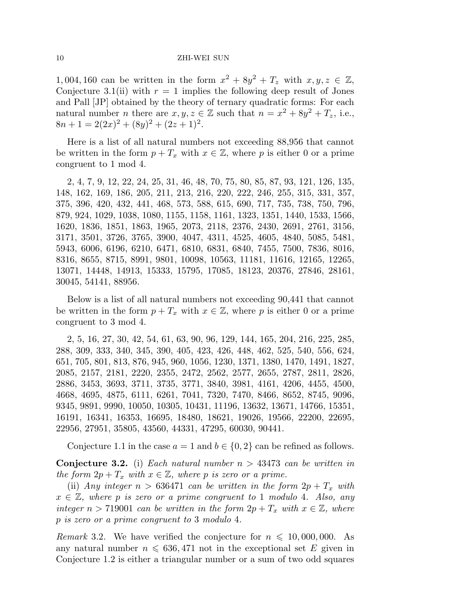1, 004, 160 can be written in the form  $x^2 + 8y^2 + T_z$  with  $x, y, z \in \mathbb{Z}$ , Conjecture 3.1(ii) with  $r = 1$  implies the following deep result of Jones and Pall [JP] obtained by the theory of ternary quadratic forms: For each natural number *n* there are  $x, y, z \in \mathbb{Z}$  such that  $n = x^2 + 8y^2 + T_z$ , i.e.,  $8n + 1 = 2(2x)^{2} + (8y)^{2} + (2z + 1)^{2}.$ 

Here is a list of all natural numbers not exceeding 88,956 that cannot be written in the form  $p + T_x$  with  $x \in \mathbb{Z}$ , where p is either 0 or a prime congruent to 1 mod 4.

2, 4, 7, 9, 12, 22, 24, 25, 31, 46, 48, 70, 75, 80, 85, 87, 93, 121, 126, 135, 148, 162, 169, 186, 205, 211, 213, 216, 220, 222, 246, 255, 315, 331, 357, 375, 396, 420, 432, 441, 468, 573, 588, 615, 690, 717, 735, 738, 750, 796, 879, 924, 1029, 1038, 1080, 1155, 1158, 1161, 1323, 1351, 1440, 1533, 1566, 1620, 1836, 1851, 1863, 1965, 2073, 2118, 2376, 2430, 2691, 2761, 3156, 3171, 3501, 3726, 3765, 3900, 4047, 4311, 4525, 4605, 4840, 5085, 5481, 5943, 6006, 6196, 6210, 6471, 6810, 6831, 6840, 7455, 7500, 7836, 8016, 8316, 8655, 8715, 8991, 9801, 10098, 10563, 11181, 11616, 12165, 12265, 13071, 14448, 14913, 15333, 15795, 17085, 18123, 20376, 27846, 28161, 30045, 54141, 88956.

Below is a list of all natural numbers not exceeding 90,441 that cannot be written in the form  $p + T_x$  with  $x \in \mathbb{Z}$ , where p is either 0 or a prime congruent to 3 mod 4.

2, 5, 16, 27, 30, 42, 54, 61, 63, 90, 96, 129, 144, 165, 204, 216, 225, 285, 288, 309, 333, 340, 345, 390, 405, 423, 426, 448, 462, 525, 540, 556, 624, 651, 705, 801, 813, 876, 945, 960, 1056, 1230, 1371, 1380, 1470, 1491, 1827, 2085, 2157, 2181, 2220, 2355, 2472, 2562, 2577, 2655, 2787, 2811, 2826, 2886, 3453, 3693, 3711, 3735, 3771, 3840, 3981, 4161, 4206, 4455, 4500, 4668, 4695, 4875, 6111, 6261, 7041, 7320, 7470, 8466, 8652, 8745, 9096, 9345, 9891, 9990, 10050, 10305, 10431, 11196, 13632, 13671, 14766, 15351, 16191, 16341, 16353, 16695, 18480, 18621, 19026, 19566, 22200, 22695, 22956, 27951, 35805, 43560, 44331, 47295, 60030, 90441.

Conjecture 1.1 in the case  $a = 1$  and  $b \in \{0, 2\}$  can be refined as follows.

**Conjecture 3.2.** (i) Each natural number  $n > 43473$  can be written in the form  $2p + T_x$  with  $x \in \mathbb{Z}$ , where p is zero or a prime.

(ii) Any integer  $n > 636471$  can be written in the form  $2p + T_x$  with  $x \in \mathbb{Z}$ , where p is zero or a prime congruent to 1 modulo 4. Also, any integer  $n > 719001$  can be written in the form  $2p + T_x$  with  $x \in \mathbb{Z}$ , where p is zero or a prime congruent to 3 modulo 4.

*Remark* 3.2. We have verified the conjecture for  $n \leq 10,000,000$ . As any natural number  $n \leq 636,471$  not in the exceptional set E given in Conjecture 1.2 is either a triangular number or a sum of two odd squares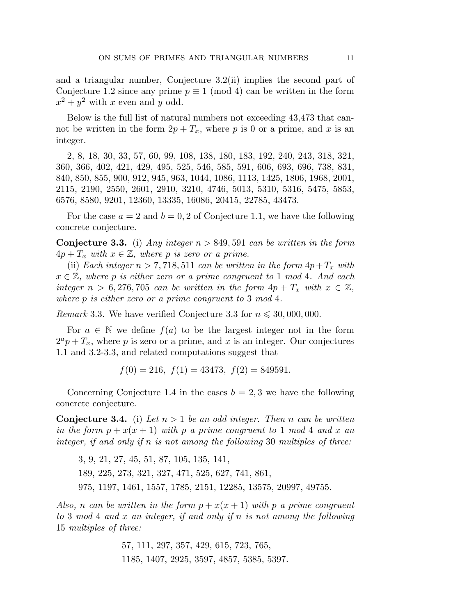and a triangular number, Conjecture 3.2(ii) implies the second part of Conjecture 1.2 since any prime  $p \equiv 1 \pmod{4}$  can be written in the form  $x^2 + y^2$  with x even and y odd.

Below is the full list of natural numbers not exceeding 43,473 that cannot be written in the form  $2p + T_x$ , where p is 0 or a prime, and x is an integer.

2, 8, 18, 30, 33, 57, 60, 99, 108, 138, 180, 183, 192, 240, 243, 318, 321, 360, 366, 402, 421, 429, 495, 525, 546, 585, 591, 606, 693, 696, 738, 831, 840, 850, 855, 900, 912, 945, 963, 1044, 1086, 1113, 1425, 1806, 1968, 2001, 2115, 2190, 2550, 2601, 2910, 3210, 4746, 5013, 5310, 5316, 5475, 5853, 6576, 8580, 9201, 12360, 13335, 16086, 20415, 22785, 43473.

For the case  $a = 2$  and  $b = 0, 2$  of Conjecture 1.1, we have the following concrete conjecture.

**Conjecture 3.3.** (i) Any integer  $n > 849,591$  can be written in the form  $4p + T_x$  with  $x \in \mathbb{Z}$ , where p is zero or a prime.

(ii) Each integer  $n > 7,718,511$  can be written in the form  $4p+T_x$  with  $x \in \mathbb{Z}$ , where p is either zero or a prime congruent to 1 mod 4. And each integer  $n > 6,276,705$  can be written in the form  $4p + T_x$  with  $x \in \mathbb{Z}$ , where p is either zero or a prime congruent to 3 mod 4.

Remark 3.3. We have verified Conjecture 3.3 for  $n \leq 30,000,000$ .

For  $a \in \mathbb{N}$  we define  $f(a)$  to be the largest integer not in the form  $2^a p + T_x$ , where p is zero or a prime, and x is an integer. Our conjectures 1.1 and 3.2-3.3, and related computations suggest that

 $f(0) = 216$ ,  $f(1) = 43473$ ,  $f(2) = 849591$ .

Concerning Conjecture 1.4 in the cases  $b = 2, 3$  we have the following concrete conjecture.

**Conjecture 3.4.** (i) Let  $n > 1$  be an odd integer. Then n can be written in the form  $p + x(x + 1)$  with p a prime congruent to 1 mod 4 and x an integer, if and only if n is not among the following 30 multiples of three:

3, 9, 21, 27, 45, 51, 87, 105, 135, 141, 189, 225, 273, 321, 327, 471, 525, 627, 741, 861, 975, 1197, 1461, 1557, 1785, 2151, 12285, 13575, 20997, 49755.

Also, n can be written in the form  $p + x(x + 1)$  with p a prime congruent to 3 mod 4 and x an integer, if and only if n is not among the following 15 multiples of three:

> 57, 111, 297, 357, 429, 615, 723, 765, 1185, 1407, 2925, 3597, 4857, 5385, 5397.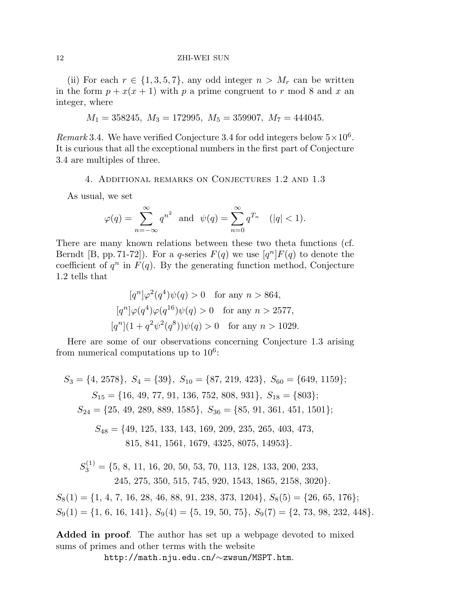(ii) For each  $r \in \{1, 3, 5, 7\}$ , any odd integer  $n > M_r$  can be written in the form  $p + x(x + 1)$  with p a prime congruent to r mod 8 and x an integer, where

$$
M_1=358245,\; M_3=172995,\; M_5=359907,\; M_7=444045.
$$

Remark 3.4. We have verified Conjecture 3.4 for odd integers below  $5 \times 10^6$ . It is curious that all the exceptional numbers in the first part of Conjecture 3.4 are multiples of three.

## 4. Additional remarks on Conjectures 1.2 and 1.3

As usual, we set

$$
\varphi(q) = \sum_{n = -\infty}^{\infty} q^{n^2} \quad \text{and} \quad \psi(q) = \sum_{n = 0}^{\infty} q^{T_n} \quad (|q| < 1).
$$

There are many known relations between these two theta functions (cf. Berndt [B, pp. 71-72]). For a q-series  $F(q)$  we use  $[q^n]F(q)$  to denote the coefficient of  $q^n$  in  $F(q)$ . By the generating function method, Conjecture 1.2 tells that

$$
[q^{n}]\varphi^{2}(q^{4})\psi(q) > 0 \text{ for any } n > 864,
$$
  
\n
$$
[q^{n}]\varphi(q^{4})\varphi(q^{16})\psi(q) > 0 \text{ for any } n > 2577,
$$
  
\n
$$
[q^{n}](1 + q^{2}\psi^{2}(q^{8}))\psi(q) > 0 \text{ for any } n > 1029.
$$

Here are some of our observations concerning Conjecture 1.3 arising from numerical computations up to  $10<sup>6</sup>$ :

$$
S_3 = \{4, 2578\}, S_4 = \{39\}, S_{10} = \{87, 219, 423\}, S_{60} = \{649, 1159\};
$$
  
\n
$$
S_{15} = \{16, 49, 77, 91, 136, 752, 808, 931\}, S_{18} = \{803\};
$$
  
\n
$$
S_{24} = \{25, 49, 289, 889, 1585\}, S_{36} = \{85, 91, 361, 451, 1501\};
$$
  
\n
$$
S_{48} = \{49, 125, 133, 143, 169, 209, 235, 265, 403, 473,
$$
  
\n
$$
815, 841, 1561, 1679, 4325, 8075, 14953\}.
$$
  
\n
$$
S_3^{(1)} = \{5, 8, 11, 16, 20, 50, 53, 70, 113, 128, 133, 200, 233,
$$
  
\n
$$
245, 275, 350, 515, 745, 920, 1543, 1865, 2158, 3020\}.
$$

 $S_8(1) = \{1, 4, 7, 16, 28, 46, 88, 91, 238, 373, 1204\}, S_8(5) = \{26, 65, 176\};$  $S_9(1) = \{1, 6, 16, 141\}, S_9(4) = \{5, 19, 50, 75\}, S_9(7) = \{2, 73, 98, 232, 448\}.$ 

Added in proof. The author has set up a webpage devoted to mixed sums of primes and other terms with the website

http://math.nju.edu.cn/∼zwsun/MSPT.htm.